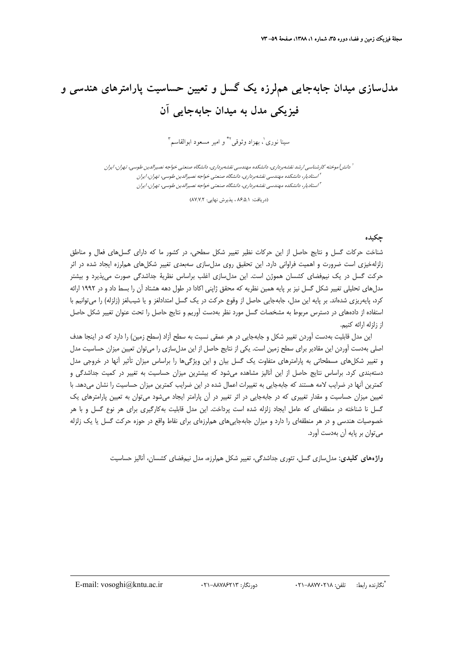# **مدلسازي ميدان جابهجايي هملرزه يك گسل و تعيين حساسيت پارامترهاي هندسي و فيزيكي مدل به ميدان جابهجايي آن**

سينا نورى<sup>'</sup>، بهزاد وثوقى<sup>،\*</sup> و امير مسعود ابوالقاسم<sup>۳</sup>

<sup>ا</sup> دانش[موخته كارشناسي ارشد نقشهبرداري، دانشكده مهندسي نقشهبرداري، دانشگاه صنعتي خواجه نصيرالدين طوسي، تهران، ايران استاديار، دانشكده مهندسي نقشهبرداري، دانشگاه صنعتي خواجه نصيرالدين طوسي، تهران، ايران <sup>2</sup> استاديار، دانشكده مهندسي نقشهبرداري، دانشگاه صنعتي خواجه نصيرالدين طوسي، تهران، ايران <sup>3</sup>

(دريافت: ٨۶/۵/١ ، پذيرش نهايي: ٨٧/٧/٢)

#### **چكيده**

شناخت حركات گسل و نتايج حاصل از اين حركات نظير تغيير شكل سطحي، در كشور ما كه داراي گسلهاي فعال و مناطق زلزلهخيزي است ضرورت و اهميت فراواني دارد. اين تحقيق روي مدلسازي سهبعدي تغيير شكلهاي هملرزه ايجاد شده در اثر حركت گسل در يك نيمفضاي كشسان هموژن است. اين مدلسازي اغلب براساس نظرية جداشدگي صورت ميپذيرد و بيشتر مدلهاي تحليلي تغيير شكل گسل نيز بر پايه همين نظريه كه محقق ژاپني اكادا در طول دهه هشتاد آن را بسط داد و در 1992 ارائه كرد، پايهريزي شدهاند. بر پايه اين مدل، جابهجايي حاصل از وقوع حركت در يك گسل امتدادلغز و يا شيبلغز (زلزله) را ميتوانيم با استفاده از دادههاي در دسترس مربوط به مشخصات گسل مورد نظر بهدست آوريم و نتايج حاصل را تحت عنوان تغيير شكل حاصل از زلزله ارائه كنيم.

اين مدل قابليت بهدست آوردن تغيير شكل و جابهجايي در هر عمقي نسبت به سطح آزاد (سطح زمين) را دارد كه در اينجا هدف اصلي بهدست آوردن اين مقادير براي سطح زمين است. يكي از نتايج حاصل از اين مدلسازي را ميتوان تعيين ميزان حساسيت مدل و تغيير شكلهاي مسطحاتي به پارامترهاي متفاوت يك گسل بيان و اين ويژگيها را براساس ميزان تأثير آنها در خروجي مدل دستهبندي كرد. براساس نتايج حاصل از اين آناليز مشاهده ميشود كه بيشترين ميزان حساسيت به تغيير در كميت جداشدگي و كمترين آنها در ضرايب لامه هستند كه جابهجايي به تغييرات اعمال شده در اين ضرايب كمترين ميزان حساسيت را نشان ميدهد. با تعيين ميزان حساسيت و مقدار تغييري كه در جابهجايي در اثر تغيير در آن پارامتر ايجاد ميشود ميتوان به تعيين پارامترهاي يك گسل نا شناخته در منطقهاي كه عامل ايجاد زلزله شده است پرداخت. اين مدل قابليت بهكارگيري براي هر نوع گسل و با هر خصوصيات هندسي و در هر منطقهاي را دارد و ميزان جابهجاييهاي هملرزهاي براي نقاط واقع در حوزه حركت گسل يا يك زلزله ميتوان بر پايه آن بهدست آورد.

**واژههاي كليدي:** مدلسازي گسل، تئوري جداشدگي، تغيير شكل هملرزه، مدل نيمفضاي كشسان، آناليز حساسيت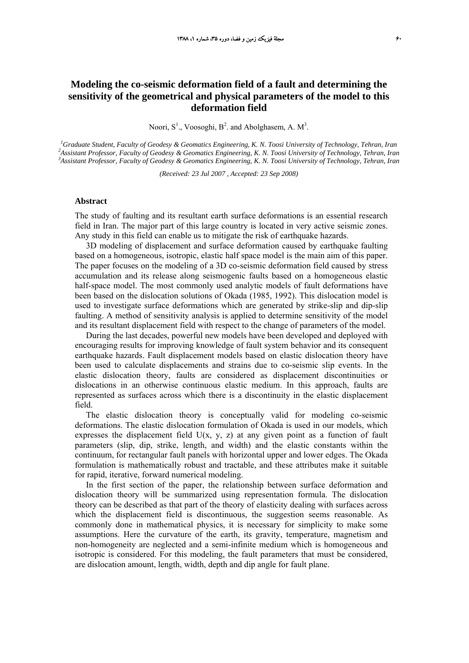### **Modeling the co-seismic deformation field of a fault and determining the sensitivity of the geometrical and physical parameters of the model to this deformation field**

Noori,  $S^1$ ., Voosoghi,  $B^2$ . and Abolghasem, A.  $M^3$ .

<sup>1</sup> Graduate Student, Faculty of Geodesy & Geomatics Engineering, K. N. Toosi University of Technology, Tehran, Iran <sup>2</sup> Assistant Professor, Equality of Ceodesy & Geomatics Engineering, K. N. Toosi University of Technolog *Assistant Professor, Faculty of Geodesy & Geomatics Engineering, K. N. Toosi University of Technology, Tehran, Iran 3 Assistant Professor, Faculty of Geodesy & Geomatics Engineering, K. N. Toosi University of Technology, Tehran, Iran* 

*(Received: 23 Jul 2007 , Accepted: 23 Sep 2008)* 

#### **Abstract**

The study of faulting and its resultant earth surface deformations is an essential research field in Iran. The major part of this large country is located in very active seismic zones. Any study in this field can enable us to mitigate the risk of earthquake hazards.

3D modeling of displacement and surface deformation caused by earthquake faulting based on a homogeneous, isotropic, elastic half space model is the main aim of this paper. The paper focuses on the modeling of a 3D co-seismic deformation field caused by stress accumulation and its release along seismogenic faults based on a homogeneous elastic half-space model. The most commonly used analytic models of fault deformations have been based on the dislocation solutions of Okada (1985, 1992). This dislocation model is used to investigate surface deformations which are generated by strike-slip and dip-slip faulting. A method of sensitivity analysis is applied to determine sensitivity of the model and its resultant displacement field with respect to the change of parameters of the model.

During the last decades, powerful new models have been developed and deployed with encouraging results for improving knowledge of fault system behavior and its consequent earthquake hazards. Fault displacement models based on elastic dislocation theory have been used to calculate displacements and strains due to co-seismic slip events. In the elastic dislocation theory, faults are considered as displacement discontinuities or dislocations in an otherwise continuous elastic medium. In this approach, faults are represented as surfaces across which there is a discontinuity in the elastic displacement field.

The elastic dislocation theory is conceptually valid for modeling co-seismic deformations. The elastic dislocation formulation of Okada is used in our models, which expresses the displacement field  $U(x, y, z)$  at any given point as a function of fault parameters (slip, dip, strike, length, and width) and the elastic constants within the continuum, for rectangular fault panels with horizontal upper and lower edges. The Okada formulation is mathematically robust and tractable, and these attributes make it suitable for rapid, iterative, forward numerical modeling.

In the first section of the paper, the relationship between surface deformation and dislocation theory will be summarized using representation formula. The dislocation theory can be described as that part of the theory of elasticity dealing with surfaces across which the displacement field is discontinuous, the suggestion seems reasonable. As commonly done in mathematical physics, it is necessary for simplicity to make some assumptions. Here the curvature of the earth, its gravity, temperature, magnetism and non-homogeneity are neglected and a semi-infinite medium which is homogeneous and isotropic is considered. For this modeling, the fault parameters that must be considered, are dislocation amount, length, width, depth and dip angle for fault plane.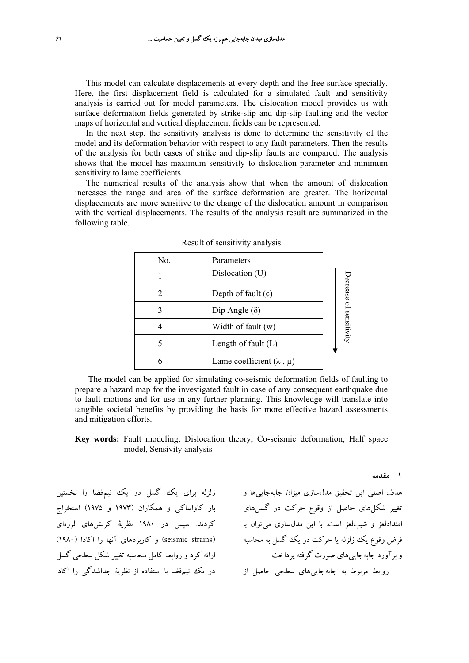This model can calculate displacements at every depth and the free surface specially. Here, the first displacement field is calculated for a simulated fault and sensitivity analysis is carried out for model parameters. The dislocation model provides us with surface deformation fields generated by strike-slip and dip-slip faulting and the vector maps of horizontal and vertical displacement fields can be represented.

In the next step, the sensitivity analysis is done to determine the sensitivity of the model and its deformation behavior with respect to any fault parameters. Then the results of the analysis for both cases of strike and dip-slip faults are compared. The analysis shows that the model has maximum sensitivity to dislocation parameter and minimum sensitivity to lame coefficients.

The numerical results of the analysis show that when the amount of dislocation increases the range and area of the surface deformation are greater. The horizontal displacements are more sensitive to the change of the dislocation amount in comparison with the vertical displacements. The results of the analysis result are summarized in the following table.

| No. | Parameters                        |                |
|-----|-----------------------------------|----------------|
|     | Dislocation (U)                   |                |
| 2   | Depth of fault (c)                | Decrease       |
|     | Dip Angle $(\delta)$              |                |
|     | Width of fault (w)                | of sensitivity |
|     | Length of fault $(L)$             |                |
| 6   | Lame coefficient $(\lambda, \mu)$ |                |

|  | Result of sensitivity analysis |
|--|--------------------------------|
|  |                                |

The model can be applied for simulating co-seismic deformation fields of faulting to prepare a hazard map for the investigated fault in case of any consequent earthquake due to fault motions and for use in any further planning. This knowledge will translate into tangible societal benefits by providing the basis for more effective hazard assessments and mitigation efforts.

**Key words:** Fault modeling, Dislocation theory, Co-seismic deformation, Half space model, Sensivity analysis

هدف اصلي اين تحقيق مدلسازي ميزان جابهجاييها و زلزله براي يك گسل در يك نيمفضا را نخستين تغيير شكلهاي حاصل از وقوع حركت در گسلهاي بار كاواساكي و همكاران (1973 و 1975) استخراج امتدادلغز و شيبلغز است. با اين مدلسازي ميتوان با كردند. سپس در 1980 نظرية كرنشهاي لرزهاي روابط مربوط به جابهجاییهای سطحی حاصل از در یک نیمٖفضا با استفاده از نظریهٔ جداشدگی را اکادا (seismic strains) و كاربردهاي آنها را اكادا (١٩٨٠) ارائه كرد و روابط كامل محاسبه تغيير شكل سطحي گسل

**1 مقدمه**

فرض وقوع يك زلزله يا حركت در يك گسل به محاسبه و برآورد جابهجاييهاي صورت گرفته پرداخت.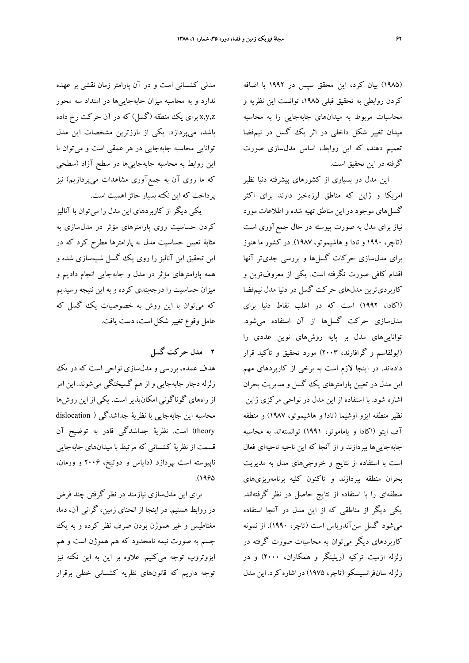(1985) بيان كرد، اين محقق سپس در 1992 با اضافه كردن روابطي به تحقيق قبلي ،1985 توانست اين نظريه و محاسبات مربوط به ميدانهاي جابهجايي را به محاسبه ميدان تغيير شكل داخلي در اثر يك گسل در نيمفضا تعميم دهند، كه اين روابط، اساس مدلسازي صورت گرفته در اين تحقيق است.

اين مدل در بسياري از كشورهاي پيشرفته دنيا نظير امريكا و ژاپن كه مناطق لرزهخيز دارند براي اكثر گسلهاي موجود در اين مناطق تهيه شده و اطلاعات مورد نياز براي مدل به صورت پيوسته در حال جمعآوري است (تاچر، 1990 و تادا و هاشيموتو، 1987). در كشور ما هنوز براي مدلسازي حركات گسلها و بررسي جديتر آنها اقدام كافي صورت نگرفته است. يكي از معروفترين و كاربرديترين مدلهاي حركت گسل در دنيا مدل نيمفضا (اكادا، 1992) است كه در اغلب نقاط دنيا براي مدلسازي حركت گسلها از آن استفاده ميشود. تواناييهاي مدل بر پايه روشهاي نوين عددي را (ابولقاسم و گرافارند، 2003) مورد تحقيق و تأكيد قرار دادهاند. در اينجا لازم است به برخي از كاربردهاي مهم اين مدل در تعيين پارامترهاي يك گسل و مديريت بحران اشاره شود. با استفاده از اين مدل در نواحي مركزي ژاپن نظير منطقه ايزو اوشيما (تادا و هاشيموتو، 1987) و منطقه آف ايتو (اكادا و ياماموتو، 1991) توانستهاند به محاسبه جابهجاييها بپردازند و از آنجا كه اين ناحيه ناحيهاي فعال است با استفاده از نتايج و خروجيهاي مدل به مديريت بحران منطقه بپردازند و تاكنون كليه برنامهريزيهاي منطقهاي را با استفاده از نتايج حاصل در نظر گرفتهاند. يكي ديگر از مناطقي كه از اين مدل در آنجا استفاده ميشود گسل سنآندرياس است (تاچر، 1990). از نمونه كاربردهاي ديگر ميتوان به محاسبات صورت گرفته در زلزله ازميت تركيه (ريلينگر و همكاران، 2000) و در زلزله سانفرانسيسكو (تاچر، 1975)دراشاره كرد. اين مدل

مدلي كشساني است و در آن پارامتر زمان نقشي بر عهده ندارد و به محاسبه ميزان جابهجاييها در امتداد سه محور z,y,x براي يك منطقه (گسل) كه در آن حركت رخ داده باشد، ميپردازد. يكي از بارزترين مشخصات اين مدل توانايي محاسبه جابهجايي در هر عمقي است و ميتوان با اين روابط به محاسبه جابهجاييها در سطح آزاد (سطحي كه ما روي آن به جمعآوري مشاهدات ميپردازيم) نيز پرداخت كه اين نكته بسيار حائزاهميت است.

يكي ديگر از كاربردهاي اين مدل را ميتوان با آناليز كردن حساسيت روي پارامترهاي مؤثر در مدلسازي به مثابة تعيين حساسيت مدل به پارامترها مطرح كرد كه در اين تحقيق اين آناليز را روي يك گسل شبيهسازي شده و همه پارامترهاي مؤثر در مدل و جابهجايي انجام داديم و ميزان حساسيت را درجهبندي كرده و به اين نتيجه رسيديم كه ميتوان با اين روش به خصوصيات يك گسل كه عامل وقوع تغيير شكل است، دست يافت.

# **2 مدل حركت گسل**

هدف عمده، بررسي و مدلسازي نواحي است كه در يك زلزله دچار جابهجايي و از هم گسيختگي ميشوند. اين امر از راههاي گوناگوني امكانپذير است. يكي از اين روشها محاسبه اين جابهجايي با نظرية جداشدگي ( dislocation theory (است. نظرية جداشدگي قادر به توضيح آن قسمت از نظرية كشساني كه مرتبط با ميدانهاي جابهجايي ناپيوسته است بپردازد (داياس و دوتيخ، 2006 و ورمان،  $. (1990)$ 

براي اين مدلسازي نيازمند در نظر گرفتن چند فرض در روابط هستيم. در اينجا از انحناي زمين، گراني آن، دما، مغناطيس و غير هموژن بودن صرف نظر كرده و به يك جسم به صورت نيمه نامحدود كه هم هموژن است و هم ايزوتروپ توجه ميكنيم. علاوه بر اين به اين نكته نيز توجه داريم كه قانونهاي نظريه كشساني خطي برقرار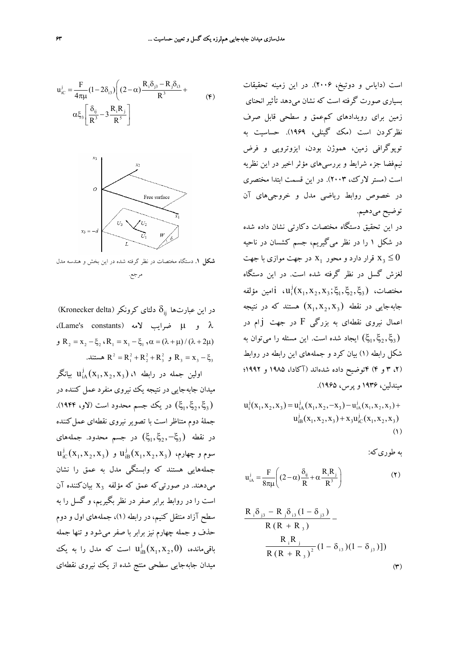$$
u_{ic}^{j} = \frac{F}{4\pi\mu} (1 - 2\delta_{i3}) \left( (2 - \alpha) \frac{R_{i}\delta_{j3} - R_{j}\delta_{i3}}{R^{3}} + \alpha \xi_{3} \left[ \frac{\delta_{ij}}{R^{3}} - 3 \frac{R_{i}R_{j}}{R^{5}} \right] \right)
$$
(4)



**شكل .1** دستگاه مختصات در نظر گرفته شده در اين بخش و هندسه مدل مرجع.

در اين عبارتها  $\delta_{ii}$  دلتاي كرونكر (Kronecker delta) ،(Lame's constants) لامه ضرايب μ و λ و R<sub>2</sub> = x<sub>2</sub> - ξ<sub>2</sub> ، R<sub>1</sub> = x<sub>1</sub> - ξ<sub>1</sub>,  $\alpha = (\lambda + \mu) / (\lambda + 2\mu)$ و  $R^2 = R_1^2 + R_2^2 + R_3^2$  و  $R_3 = X_1 - \xi_3$  هستند. ولين جمله در رابطه ۱،  $\mathrm{u}^{\mathrm{j}}_{\mathrm{iA}}(\mathrm{x}_1, \mathrm{x}_2, \mathrm{x}_3)$  بيانگر ميدان جابهجايي در نتيجه يك نيروي منفرد عمل كننده در ن (پنجی ) در یک جسم محدود است (لاو، ۱۹۴۴).  $(\xi_1, \xi_2, \xi_3)$ جملة دوم متناظر است با تصوير نيروى نقطهاي عمل كننده در نقطه  $(\xi_1, \xi_2, -\xi_3)$  در جسم محدود. جملههای  $\mathrm{u}_\mathrm{iC}^\mathrm{j}(\mathrm{x}_1, \mathrm{x}_2, \mathrm{x}_3)$  سوم و چهارم،  $\mathrm{u}_\mathrm{iB}^\mathrm{j}(\mathrm{x}_1, \mathrm{x}_2, \mathrm{x}_3)$  و جملههايي هستند كه وابستگي مدل به عمق را نشان مي دهند. در صورتي كه عمق كه مؤلفه  $X_3$  بيان كننده آن است را در روابط برابر صفر در نظر بگيريم، و گسل را به سطح آزاد منتقل كنيم، در رابطه (1)، جملههاي اول و دوم حذف و جمله چهارم نيز برابر با صفر ميشود و تنها جمله اقی $\mathrm{u}^{\mathrm{j}}_{\mathrm{B}}(\mathrm{x}_1, \mathrm{x}_2, 0)$  است كه مدل را به یك ميدان جابهجايي سطحي منتج شده از يك نيروي نقطهاي

است (داياس و دوتيخ، 2006). در اين زمينه تحقيقات بسياري صورت گرفته است كه نشان ميدهد تأثير انحناي زمين براي رويدادهاي كمعمق و سطحي قابل صرف نظركردن است (مك گينلي، 1969). حساسيت به توپوگرافي زمين، هموژن بودن، ايزوتروپي و فرض نيمفضا جزء شرايط و بررسيهاي مؤثر اخير در اين نظريه است (مستر لارك، 2003). در اين قسمت ابتدا مختصري در خصوص روابط رياضي مدل و خروجيهاي آن توضيح ميدهيم. در اين تحقيق دستگاه مختصات دكارتي نشان داده شده در شكل 1 را در نظر ميگيريم، جسم كشسان در ناحيه قرار دارد و محور  $\rm x_{1}$  در جهت موازی با جهت  $\rm x_{3} \leq 0$ لغزش گسل در نظر گرفته شده است. در اين دستگاه مختصات،  $\mathfrak{t}_1: \mathfrak{u}^{\, \mathrm{j}}_1(\mathrm{x}_1, \mathrm{x}_2, \mathrm{x}_3; \xi_1, \xi_2, \xi_3)$ امين مؤلفه جابهجايي در نقطه  $(x_1, x_2, x_3)$  هستند كه در نتيجه اعمال نيروي نقطهاي به بزرگي  $\rm{F}$  در جهت  $\rm{j}$  در ايجاد شده است. اين مسئله را مي $(\xi_1, \xi_2, \xi_3)$ شكل رابطه (1) بيان كرد و جملههاي اين رابطه در روابط (،2 3 و 4) 4توضيح داده شدهاند (آكادا، 1985 و 1992؛ ميندلين، 1936 وپرس، 1965).

$$
u_1^j(x_1, x_2, x_3) = u_{iA}^j(x_1, x_2, -x_3) - u_{iA}^j(x_1, x_2, x_3) + u_{iB}^j(x_1, x_2, x_3) + x_3 u_{iC}^j(x_1, x_2, x_3)
$$
\n(1)

به طوريكه:

$$
u_{iA}^{j} = \frac{F}{8\pi\mu} \left( (2-\alpha)\frac{\delta_{ij}}{R} + \alpha \frac{R_{i}R_{j}}{R^{3}} \right)
$$
 (7)

$$
\frac{R_{i}\delta_{j3} - R_{j}\delta_{i3}(1 - \delta_{j3})}{R (R + R_{3})} - \frac{R_{i}R_{j}}{R (R + R_{3})^{2}} (1 - \delta_{i3})(1 - \delta_{j3})])
$$
\n
$$
(4)
$$
\n
$$
(4)
$$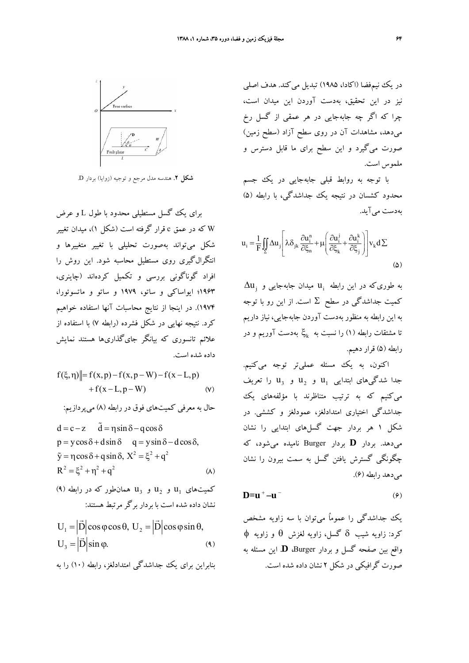در يك نيمفضا (اكادا، ١٩٨۵) تبديل مي كند. هدف اصلي نيز در اين تحقيق، بهدست آوردن اين ميدان است، چرا كه اگر چه جابهجايي در هر عمقي از گسل رخ ميدهد، مشاهدات آن در روي سطح آزاد (سطح زمين) صورت ميگيرد و اين سطح براي ما قابل دسترس و ملموس است.

با توجه به روابط قبلي جابهجايي در يك جسم محدود كشسان در نتيجه يك جداشدگي، با رابطه (5) بهدست ميآيد.

$$
u_{i} = \frac{1}{F} \iint_{\Sigma} \Delta u_{j} \left[ \lambda \delta_{jk} \frac{\partial u_{i}^{n}}{\partial \xi_{n}} + \mu \left( \frac{\partial u_{i}^{j}}{\partial \xi_{k}} + \frac{\partial u_{i}^{k}}{\partial \xi_{j}} \right) \right] v_{k} d \Sigma
$$
\n
$$
\tag{2}
$$

 $\Delta \textbf{u}_{\rm j}$  به طوریکه در این رابطه  $\textbf{u}_{\rm i}$  میدان جابهجایی و كميت جداشدگي در سطح Σ است. از اين رو با توجه به اين رابطه به منظور بهدست آوردن جابهجايي، نياز داريم تا مشتقات رابطه (۱) را نسبت به  $\ddot{\xi}_{\mathbf{k}}$  بهدست آوریم و در رابطه (5) قرار دهيم.

اكنون، به يك مسئله عمليتر توجه ميكنيم. جدا شدگيهاي ابتدايي  $\rm u_1$  و  $\rm u_2$  و  $\rm u_3$  را تعريف ميكنيم كه به ترتيب متناظرند با مؤلفههاي يك جداشدگي اختياري امتدادلغز، عمودلغز و كششي. در شكل 1 هر بردار جهت گسلهاي ابتدايي را نشان ميدهد. بردار **D** بردار Burger ناميده ميشود، كه چگونگي گسترش يافتن گسل به سمت بيرون را نشان ميدهد رابطه (6).

$$
D=u^+-u^-\tag{9}
$$

يك جداشدگي را عموماُ ميتوان با سه زاويه مشخص كرد: زاويه شيب δ گسل، زاويه لغزش θ و زاويه φ واقع بين صفحه گسل و بردار Burger، **D**. اين مسئله به صورت گرافيكي در شكل 2 نشان داده شده است.



**شكل .2** هندسه مدل مرجع و توجيه (زوايا) بردار D.

براي يك گسل مستطيلي محدود با طول L و عرض W كه در عمق c قرار گرفته است (شكل 1)، ميدان تغيير شكل ميتواند بهصورت تحليلي با تغيير متغييرها و انتگرالگيري روي مستطيل محاسبه شود. اين روش را افراد گوناگوني بررسي و تكميل كردهاند (چاينري، 1963؛ ايواساكي و ساتو، 1979 و ساتو و ماتسوئورا، 1974). در اينجا از نتايج محاسبات آنها استفاده خواهيم كرد. نتيجه نهايي در شكل فشرده (رابطه 7) با استفاده از علائم تانسوري كه بيانگر جايگذاريها هستند نمايش داده شده است.

$$
f(\xi, \eta)
$$
 =  $f(x, p) - f(x, p - W) - f(x - L, p)$   
+  $f(x - L, p - W)$  (v)

حال به معرفي كميتهاي فوق در رابطه (8) ميپردازيم:

$$
d = c - z \quad \tilde{d} = \eta \sin \delta - q \cos \delta
$$
  
\n
$$
p = y \cos \delta + d \sin \delta \quad q = y \sin \delta - d \cos \delta,
$$
  
\n
$$
\tilde{y} = \eta \cos \delta + q \sin \delta, X^2 = \xi^2 + q^2
$$
  
\n
$$
R^2 = \xi^2 + \eta^2 + q^2
$$
 (A)

(۹) كميتهاى  $u_1$  و  $u_2$  و  $u_3$  و همان طور كه در رابطه نشان داده شده است با بردار برگر مرتبط هستند:

$$
U_1 = |\vec{D}| \cos \varphi \cos \theta, \ U_2 = |\vec{D}| \cos \varphi \sin \theta,
$$
  

$$
U_3 = |\vec{D}| \sin \varphi.
$$
 (4)

بنابراين براي يك جداشدگي امتدادلغز، رابطه (10) را به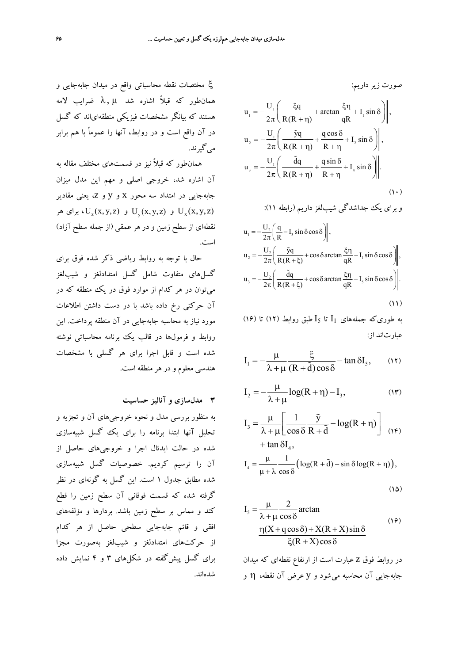ξ مختصات نقطه محاسباتي واقع در ميدان جابهجايي و همان $d$ هرايب لامه آشاره شد  $\lambda,\,\mu$  ضرايب لامه هستند كه بيانگر مشخصات فيزيكي منطقهاياند كه گسل در آن واقع است و در روابط، آنها را عموماً با هم برابر ميگيرند.

همانطور كه قبلاً نيز در قسمتهاي مختلف مقاله به آن اشاره شد، خروجي اصلي و مهم اين مدل ميزان جابهجايي در امتداد سه محور x و y و z، يعني مقادير و  $U_{y}(x, y, z)$  و  $U_{y}(x, y, z)$ ، برای هر  $U_{x}(x, y, z)$ نقطهاي از سطح زمين و در هرعمقي (از جمله سطح آزاد) است.

حال با توجه به روابط رياضي ذكر شده فوق براي گسلهاي متفاوت شامل گسل امتدادلغز و شيبلغز ميتوان در هر كدام از موارد فوق در يك منطقه كه در آن حركتي رخ داده باشد با در دست داشتن اطلاعات مورد نياز به محاسبه جابهجايي در آن منطقه پرداخت. اين روابط و فرمولها در قالب يك برنامه محاسباتي نوشته شده است و قابل اجرا براي هر گسلي با مشخصات هندسي معلوم و در هر منطقه است.

**3 مدلسازي و آناليز حساسيت**

به منظور بررسي مدل و نحوه خروجيهاي آن و تجزيه و تحليل آنها ابتدا برنامه را براي يك گسل شبيهسازي شده در حالت ايدئال اجرا و خروجيهاي حاصل از آن را ترسيم كرديم. خصوصيات گسل شبيهسازي شده مطابق جدول 1 است. اين گسل به گونهاي در نظر گرفته شده كه قسمت فوقاني آن سطح زمين را قطع كند و مماس بر سطح زمين باشد. بردارها و مؤلفههاي افقي و قائم جابهجايي سطحي حاصل از هر كدام از حركتهاي امتدادلغز و شيبلغز بهصورت مجزا براي گسل پيشگفته در شكلهاي 3 و 4 نمايش داده شدهاند.

$$
u_{1} = -\frac{U_{1}}{2\pi} \left( \frac{\xi q}{R(R+\eta)} + \arctan \frac{\xi \eta}{qR} + I_{1} \sin \delta \right) \Big|, u_{2} = -\frac{U_{1}}{2\pi} \left( \frac{\tilde{y}q}{R(R+\eta)} + \frac{q \cos \delta}{R+\eta} + I_{2} \sin \delta \right) \Big|, u_{3} = -\frac{U_{1}}{2\pi} \left( \frac{\tilde{q}q}{R(R+\eta)} + \frac{q \sin \delta}{R+\eta} + I_{4} \sin \delta \right) \Big|.
$$

و براي يك جداشدگي شيبلغز داريم (رابطه 11):

 $(1)$ 

$$
u_1 = -\frac{U_2}{2\pi} \left( \frac{q}{R} - I_3 \sin \delta \cos \delta \right),
$$
  
\n
$$
u_2 = -\frac{U_2}{2\pi} \left( \frac{\tilde{y}q}{R(R + \xi)} + \cos \delta \arctan \frac{\xi \eta}{qR} - I_1 \sin \delta \cos \delta \right),
$$
  
\n
$$
u_3 = -\frac{U_2}{2\pi} \left( \frac{\tilde{d}q}{R(R + \xi)} + \cos \delta \arctan \frac{\xi \eta}{qR} - I_5 \sin \delta \cos \delta \right).
$$
  
\n(11)

به طوريكه جملههاي 1I تا 5I طبق روابط (12) تا (16) عبارتاند از:

$$
I_1 = -\frac{\mu}{\lambda + \mu} \frac{\xi}{(R + \tilde{d}) \cos \delta} - \tan \delta I_5, \qquad (17)
$$

$$
I_2 = -\frac{\mu}{\lambda + \mu} \log(R + \eta) - I_3, \tag{17}
$$

$$
I_3 = \frac{\mu}{\lambda + \mu} \left[ \frac{1}{\cos \delta} \frac{\tilde{y}}{R + \tilde{d}} - \log(R + \eta) \right] \quad (15)
$$
  
+  $\tan \delta I_4$ ,

$$
I_4 = \frac{\mu}{\mu + \lambda} \frac{1}{\cos \delta} \Big( \log(R + \tilde{d}) - \sin \delta \log(R + \eta) \Big),
$$

$$
(\Lambda \Delta)
$$

$$
I_{5} = \frac{\mu}{\lambda + \mu} \frac{2}{\cos \delta} \arctan
$$
  

$$
\frac{\eta(X + q \cos \delta) + X(R + X) \sin \delta}{\xi(R + X) \cos \delta}
$$
 (19)

در روابط فوق z عبارت است از ارتفاع نقطهاي كه ميدان جابهجايي آن محاسبه ميشود و y عرض آن نقطه، η و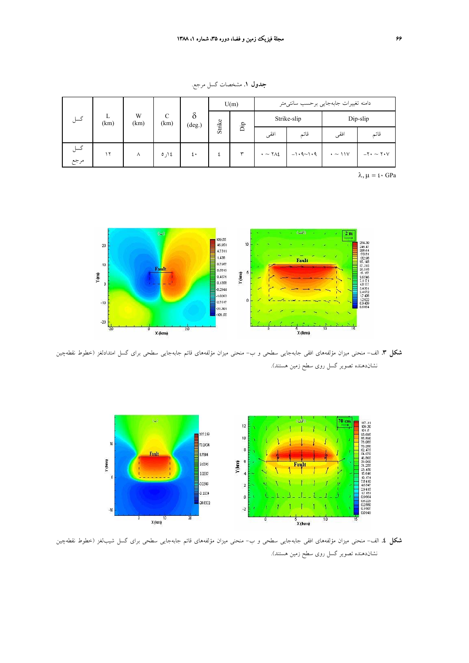**جدول .1** مشخصات گسل مرجع.

| گسل  |           | W<br>(km) | C<br>(km) | $\delta$<br>(deg.) | U(m)   |     | دامنه تغييرات جابهجايي برحسب سانتىمتر |                         |                  |                           |
|------|-----------|-----------|-----------|--------------------|--------|-----|---------------------------------------|-------------------------|------------------|---------------------------|
|      | L<br>(km) |           |           |                    | Strike |     |                                       | Strike-slip<br>Dip-slip |                  |                           |
|      |           |           |           |                    |        | Ъîр | افقى                                  | قائم                    | افقى             | قائم                      |
| گسل  | ۱۲        | ٨         | ١٤ ار ٥   | ٤٠                 |        | ٣   | $\cdot \sim \text{YAL}$               | $-1.9 - 1.9$            | $\cdot \sim 11V$ | $-Y \cdot \sim Y \cdot V$ |
| مرجع |           |           |           |                    |        |     |                                       |                         |                  |                           |

 $\lambda, \mu = \mathfrak{t} \cdot \text{GPa}$ 



**شكل .3** الف- منحني ميزان مؤلفههاي افقي جابهجايي سطحي و ب- منحني ميزان مؤلفههاي قائم جابهجايي سطحي براي گسل امتدادلغز (خطوط نقطهچين نشاندهنده تصوير گسل روي سطح زمين هستند).



**شكل .4** الف- منحني ميزان مؤلفههاي افقي جابهجايي سطحي و ب- منحني ميزان مؤلفههاي قائم جابهجايي سطحي براي گسل شيبلغز (خطوط نقطهچين نشاندهنده تصوير گسل روي سطح زمين هستند).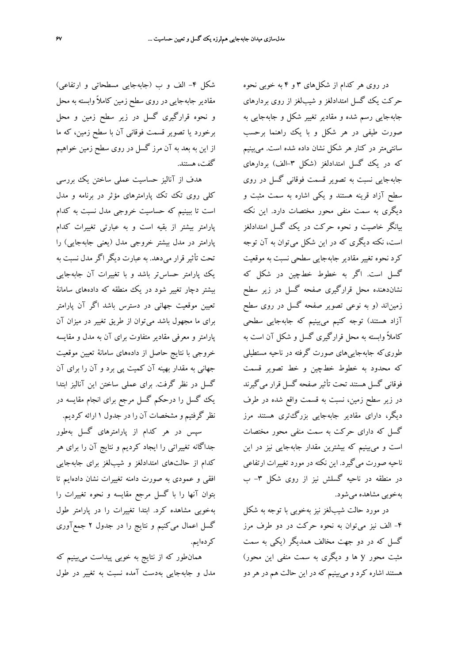شكل -4 الف و ب (جابهجايي مسطحاتي و ارتفاعي) مقادير جابهجايي در روي سطح زمين كاملاً وابسته به محل و نحوه قرارگيري گسل در زير سطح زمين و محل برخورد يا تصوير قسمت فوقاني آن با سطح زمين، كه ما از اين به بعد به آن مرز گسل در روي سطح زمين خواهيم گفت، هستند.

هدف از آناليز حساسيت عملي ساختن يك بررسي كلي روي تك تك پارامترهاي مؤثر در برنامه و مدل است تا ببينيم كه حساسيت خروجي مدل نسبت به كدام پارامتر بيشتر از بقيه است و به عبارتي تغييرات كدام پارامتر در مدل بيشتر خروجي مدل (يعني جابهجايي) را تحت تأثير قرار ميدهد. به عبارت ديگر اگر مدل نسبت به يك پارامتر حساستر باشد و با تغييرات آن جابهجايي بيشتر دچار تغيير شود در يك منطقه كه دادههاي سامانة تعيين موقعيت جهاني در دسترس باشد اگر آن پارامتر براي ما مجهول باشد ميتوان از طريق تغيير در ميزان آن پارامتر و معرفي مقادير متفاوت براي آن به مدل و مقايسه خروجي با نتايج حاصل از دادههاي سامانة تعيين موقعيت جهاني به مقدار بهينه آن كميت پي برد و آن را براي آن گسل در نظر گرفت. براي عملي ساختن اين آناليز ابتدا يك گسل را درحكم گسل مرجع براي انجام مقايسه در نظر گرفتيم و مشخصات آن را در جدول 1 ارائه كرديم. سپس در هر كدام از پارامترهاي گسل بهطور

جداگانه تغييراتي را ايجاد كرديم و نتايج آن را براي هر كدام از حالتهاي امتدادلغز و شيبلغز براي جابهجايي افقي و عمودي به صورت دامنه تغييرات نشان دادهايم تا بتوان آنها را با گسل مرجع مقايسه و نحوه تغييرات را بهخوبي مشاهده كرد. ابتدا تغييرات را در پارامتر طول گسل اعمال ميكنيم و نتايج را در جدول 2 جمعآوري كردهايم.

همانطور كه از نتايج به خوبي پيداست ميبينيم كه مدل و جابهجايي بهدست آمده نسبت به تغيير در طول

در روي هر كدام از شكلهاي 3 و 4 به خوبي نحوه حركت يك گسل امتدادلغز و شيبلغز از روي بردارهاي جابهجايي رسم شده و مقادير تغيير شكل و جابهجايي به صورت طيفي در هر شكل و با يك راهنما برحسب سانتيمتر در كنار هر شكل نشان داده شده است. ميبينيم كه در يك گسل امتدادلغز (شكل ۳-الف) بردارهاي جابهجايي نسبت به تصوير قسمت فوقاني گسل در روي سطح آزاد قرينه هستند و يكي اشاره به سمت مثبت و ديگري به سمت منفي محور مختصات دارد. اين نكته بيانگر خاصيت و نحوه حركت در يك گسل امتدادلغز است، نكته ديگري كه در اين شكل ميتوان به آن توجه كرد نحوه تغيير مقادير جابهجايي سطحي نسبت به موقعيت گسل است. اگر به خطوط خطچين در شكل كه نشاندهنده محل قرارگيري صفحه گسل در زير سطح زميناند (و به نوعي تصوير صفحه گسل در روي سطح آزاد هستند) توجه كنيم ميبينيم كه جابهجايي سطحي كاملاً وابسته به محل قرارگيري گسل و شكل آن است به طوريكه جابهجاييهاي صورت گرفته در ناحيه مستطيلي كه محدود به خطوط خطچين و خط تصوير قسمت فوقاني گسل هستند تحت تأثير صفحه گسل قرار ميگيرند در زير سطح زمين، نسبت به قسمت واقع شده در طرف ديگر، داراي مقادير جابهجايي بزرگتري هستند مرز گسل كه داراي حركت به سمت منفي محور مختصات است و ميبينيم كه بيشترين مقدار جابهجايي نيز در اين ناحيه صورت ميگيرد. اين نكته در مورد تغييرات ارتفاعي در منطقه در ناحيه گسلش نيز از روي شكل ۳- ب بهخوبي مشاهده ميشود.

در مورد حالت شيبلغز نيز بهخوبي با توجه به شكل -4 الف نيز ميتوان به نحوه حركت در دو طرف مرز گسل كه در دو جهت مخالف همديگر (يكي به سمت مثبت محور y ها و ديگري به سمت منفي اين محور) هستند اشاره كرد و ميبينيم كه در اين حالت هم در هر دو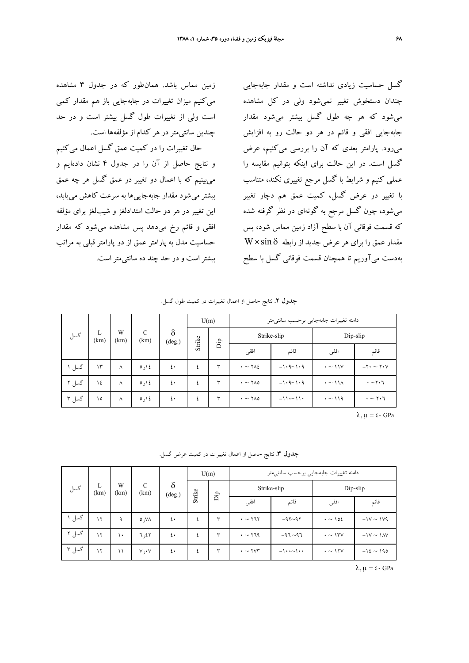زمين مماس باشد. همانطور كه در جدول 3 مشاهده ميكنيم ميزان تغييرات در جابهجايي باز هم مقدار كمي است ولي از تغييرات طول گسل بيشتر است و در حد چندين سانتيمتردر هر كدام از مؤلفهها است. حال تغييرات را در كميت عمق گسل اعمال ميكنيم و نتايج حاصل از آن را در جدول 4 نشان دادهايم و ميبينيم كه با اعمال دو تغيير در عمق گسل هر چه عمق بيشترميشود مقدار جابهجاييها به سرعت كاهش مييابد، اين تغيير در هر دو حالت امتدادلغز و شيبلغز براي مؤلفه افقي و قائم رخ ميدهد پس مشاهده ميشود كه مقدار حساسيت مدل به پارامتر عمق از دو پارامتر قبلي به مراتب بيشتراست و در حد چند ده سانتيمتراست.

گسل حساسيت زيادي نداشته است و مقدار جابهجايي چندان دستخوش تغيير نميشود ولي در كل مشاهده ميشود كه هر چه طول گسل بيشتر ميشود مقدار جابهجايي افقي و قائم در هر دو حالت رو به افزايش ميرود. پارامتر بعدي كه آن را بررسي ميكنيم، عرض گسل است. در اين حالت براي اينكه بتوانيم مقايسه را عملي كنيم و شرايط با گسل مرجع تغييري نكند، متناسب با تغيير در عرض گسل، كميت عمق هم دچار تغيير ميشود، چون گسل مرجع به گونهاي در نظر گرفته شده كه قسمت فوقاني آن با سطح آزاد زمين مماس شود، پس  $\rm W\times sin\,\delta$  مقدار عمق را براي هر عرض جديد از رابطه بهدست ميآوريم تا همچنان قسمت فوقاني گسل با سطح

| <b>جدول ۲</b> . نتایج حاصل از اعمال تغییرات در کمیت طول گسل. |  |
|--------------------------------------------------------------|--|
|--------------------------------------------------------------|--|

| گسل   |            | $\delta$<br>C<br>W<br>L<br>Strike<br>(km)<br>(km)<br>$(\text{deg.})$ |         |      | U(m) |      | دامنه تغييرات جابهجايي برحسب سانتيمتر |              |                         |                             |  |
|-------|------------|----------------------------------------------------------------------|---------|------|------|------|---------------------------------------|--------------|-------------------------|-----------------------------|--|
|       | (km)       |                                                                      |         |      |      | Ъp   |                                       | Strike-slip  |                         | Dip-slip                    |  |
|       |            |                                                                      |         | افقى | قائم | افقى | قائم                                  |              |                         |                             |  |
| گسل ۱ | $\Upsilon$ | $\lambda$                                                            | 0,12    | ٤٠   | ٤    | ٣    | $\cdot \sim \text{YAL}$               | $-1.9 - 1.9$ | $\cdot \sim 11V$        | $-Y \cdot \sim Y \cdot V$   |  |
| گسل ۲ | ١٤         | $\lambda$                                                            | ١٤ (, ٥ | ٤٠   | ٤    | ٣    | $\cdot \sim \text{YAO}$               | $-1.9 - 1.9$ | $\cdot \sim 11\text{A}$ | $\cdot \sim$ ۲۰٦            |  |
| گسل ۳ | ۱٥         | $\lambda$                                                            | 0,12    | ٤٠   | ٤    | ٣    | $\cdot \sim \text{YAO}$               | $-11.011$    | $\cdot \sim 119$        | $\cdot \sim \gamma \cdot 7$ |  |

 $\lambda, \mu = \mathfrak{t} \cdot \text{GPa}$ 

**جدول .3** نتايج حاصل از اعمال تغييرات در كميت عرض گسل.

| گسل   |           | W<br>(km)     | C<br>(km)               | $\delta$<br>$(\text{deg.})$ | U(m)   |              | دامنه تغييرات جابهجايي برحسب سانتىمتر |                    |                   |                |
|-------|-----------|---------------|-------------------------|-----------------------------|--------|--------------|---------------------------------------|--------------------|-------------------|----------------|
|       | L<br>(km) |               |                         |                             | Strike |              |                                       | Strike-slip        |                   | Dip-slip       |
|       |           |               | $\mathop{\rm Dip}$      | افقى                        | قائم   | افقى         | قائم                                  |                    |                   |                |
| گسل   | ۱۲        | $\mathcal{A}$ | $\circ$ , $\vee \wedge$ | $\mathfrak{t}$ .            | ٤      | ٣            | $\cdot \sim$ ۲٦۲                      | $-97 - 97$         | $\cdot \sim 102$  | $-1V \sim 1V9$ |
| گسل ۲ | ۱۲        | $\mathcal{L}$ | 7,27                    | ٤٠                          | ٤      | $\mathbf{r}$ | $\cdot \sim$ 179                      | $-97 - 97$         | $\cdot \sim 1$ ۳۷ | $-1V \sim 1AV$ |
| گسل ۳ | $\gamma$  | $\setminus$   | V, V                    | ٤٠                          | ٤      | $\mathbf{r}$ | $\cdot \sim \text{Y} \times \text{Y}$ | $-1$ $\sim$ $\sim$ | $\cdot \sim 17V$  | $-12 \sim 190$ |

 $\lambda, \mu = \mathfrak{t} \cdot \text{GPa}$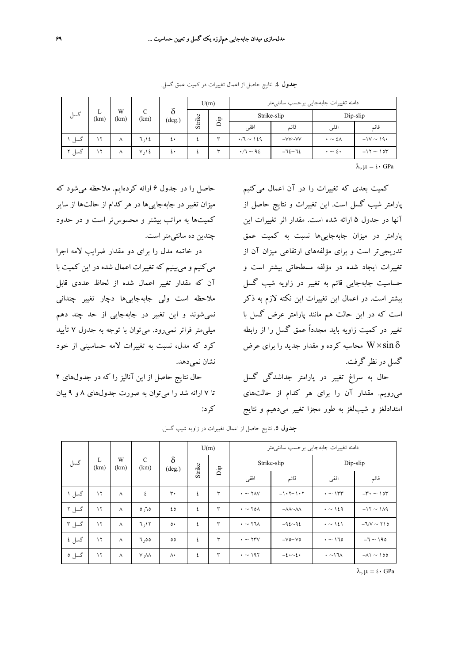| گسل                             |           | W<br>(km) | C<br>(km) | ີ               | U(m)   |            |                       | دامنه تغييرات جابهجايي برحسب سانتيءتر |                          |                |
|---------------------------------|-----------|-----------|-----------|-----------------|--------|------------|-----------------------|---------------------------------------|--------------------------|----------------|
|                                 | ┺<br>(km) |           |           | $(\text{deg.})$ | Strike | Ъp         |                       | Strike-slip                           |                          | Dip-slip       |
|                                 |           |           |           |                 |        |            | افقى                  | قائم                                  | افقى                     | قائم           |
| گسل                             | ۲         | $\lambda$ | ۱۶ (۱۲    | ٤٠              |        | $\check{}$ | $\cdot$ /7 $\sim$ 129 | $-VV\sim$ VV                          | $\cdot$ $\sim$ 2 $\land$ | $-1V \sim 19$  |
| گسل<br>$\overline{\phantom{a}}$ | ۲         | л         | V, V      | ٤٠              |        | $\tilde{}$ | $\cdot$ /7 $\sim$ 92  | $-72072$                              | $\cdot \sim \epsilon$    | $-11 \sim 104$ |

**جدول .4** نتايج حاصل از اعمال تغييرات در كميت عمق گسل.

 $\lambda, \mu = \mathfrak{t} \cdot \text{GPa}$ 

كميت بعدي كه تغييرات را در آن اعمال ميكنيم پارامتر شيب گسل است. اين تغييرات و نتايج حاصل از آنها در جدول 5 ارائه شده است. مقدار اثر تغييرات اين پارامتر در ميزان جابهجاييها نسبت به كميت عمق تدريجيتر است و براي مؤلفههاي ارتفاعي ميزان آن از تغييرات ايجاد شده در مؤلفه مسطحاتي بيشتر است و حساسيت جابهجايي قائم به تغيير در زاويه شيب گسل بيشتر است. در اعمال اين تغييرات اين نكته لازم به ذكر است كه در اين حالت هم مانند پارامتر عرض گسل با تغيير در كميت زاويه بايد مجدداً عمق گسل را از رابطه محاسبه كرده و مقدار جديد را براي عرض  $W\times\sin\delta$ گسل در نظر گرفت.

حال به سراغ تغيير در پارامتر جداشدگي گسل ميرويم. مقدار آن را براي هر كدام از حالتهاي امتدادلغز و شيبلغز به طور مجزا تغيير ميدهيم و نتايج

حاصل را در جدول 6 ارائه كردهايم. ملاحظه ميشود كه ميزان تغيير در جابهجاييها در هر كدام از حالتها از ساير كميتها به مراتب بيشتر و محسوستر است و در حدود چندين ده سانتيمتراست.

در خاتمه مدل را براي دو مقدار ضرايب لامه اجرا ميكنيم و ميبينيم كه تغييرات اعمال شده در اين كميت با آن كه مقدار تغيير اعمال شده از لحاظ عددي قابل ملاحظه است ولي جابهجاييها دچار تغيير چنداني نميشوند و اين تغيير در جابهجايي از حد چند دهم ميليمتر فراتر نميرود. ميتوان با توجه به جدول 7 تأييد كرد كه مدل، نسبت به تغييرات لامه حساسيتي از خود نشان نمي دهد.

حال نتايج حاصل از اين آناليز را كه در جدولهاي 2 تا 7 ارائه شد را ميتوان به صورت جدولهاي 8 و 9 بيان كرد:

|       |           |           |                       | $\delta$<br>$(\text{deg.})$ | U(m) |      | دامنه تغييرات جابهجايي برحسب سانتىمتر |                                       |                   |                               |  |
|-------|-----------|-----------|-----------------------|-----------------------------|------|------|---------------------------------------|---------------------------------------|-------------------|-------------------------------|--|
| گسل   | L<br>(km) | W<br>(km) | $\mathcal{C}$<br>(km) |                             |      |      |                                       | Strike-slip                           | Dip-slip          |                               |  |
|       |           |           |                       | Strike                      | Ďр   | افقى | قائم                                  | افقى                                  | قائم              |                               |  |
| گسل ۱ | $\gamma$  | $\wedge$  | ٤                     | ٣٠                          | ٤    | ٣    | $\cdot \sim \text{YAV}$               | $-1.5 - 1.5$                          | $\cdot \sim 1$ ۳۳ | $-\mathbf{r} \cdot \sim 1$ or |  |
| گسل ۲ | $\gamma$  | $\lambda$ | 0,70                  | ٤٥                          | ٤    | ٣    | $\cdot \sim \text{Y0} \wedge$         | $-\lambda\lambda\sim\lambda\lambda$   | $\cdot \sim 129$  | $-11 - 119$                   |  |
| گسل ۳ | $\gamma$  | $\wedge$  | 7,17                  | $\circ$                     | ٤    | ٣    | $\cdot \sim \text{Y} \text{V}$        | $-92-92$                              | $\cdot \sim$ 121  | $-1/V \sim 110$               |  |
| گسل ٤ | $\gamma$  | $\wedge$  | 7,00                  | $\circ \circ$               | ٤    | ٣    | $\cdot \sim \text{YYV}$               | $-V$ $\sim$ V $\circ$                 | $\cdot \sim 170$  | $-7 \sim 190$                 |  |
| گسل ٥ | ۱۲        | $\wedge$  | V, V                  | $\wedge\cdot$               | ٤    | ٣    | $\cdot$ $\sim$ 197                    | $-\epsilon \cdot \sim \epsilon \cdot$ | $\cdot \sim 1$    | $-\Lambda$ 1 ~ 100            |  |

**جدول .5** نتايج حاصل از اعمال تغييرات در زاويه شيب گسل.

 $\lambda, \mu = \mathfrak{t} \cdot \text{GPa}$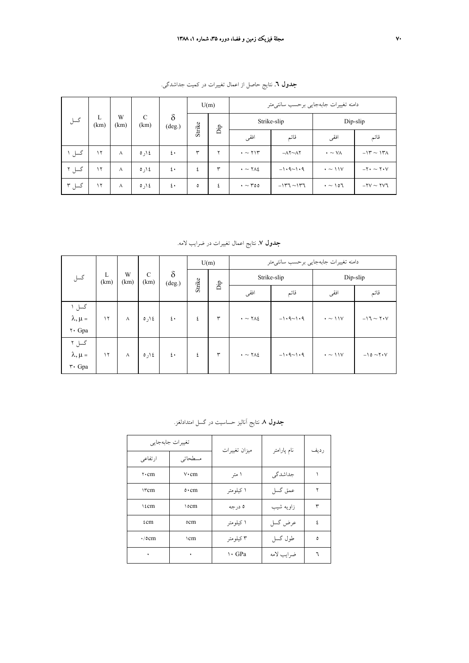| گسل   |           | W<br>(km) | C<br>(km) | $\delta$<br>$(\text{deg.})$ |    | U(m)   |                                    | دامنه تغييرات جابهجايي برحسب سانتىمتر |                          |                           |  |
|-------|-----------|-----------|-----------|-----------------------------|----|--------|------------------------------------|---------------------------------------|--------------------------|---------------------------|--|
|       | L<br>(km) |           |           |                             |    | Strike |                                    | Strike-slip                           |                          | Dip-slip                  |  |
|       |           |           |           |                             | Ъî |        | افقى                               | قائم                                  | افقى                     | قائم                      |  |
| گسل ۱ | $\gamma$  | $\lambda$ | 0,12      | ٤٠                          | ٣  | ۷      | $\cdot \sim$ $\uparrow$ $\uparrow$ | $-\Lambda$ Y $\sim$ $\Lambda$ Y       | $\cdot \sim \vee \wedge$ | $-14 - 14$                |  |
| گسل ۲ | $\gamma$  | $\wedge$  | 0,12      | ٤٠                          | ٤  | ٣      | $\cdot \sim \text{YAL}$            | $-1.9 - 1.9$                          | $\cdot \sim 11V$         | $-Y \cdot \sim Y \cdot V$ |  |
| گسل ۳ | $\gamma$  | $\wedge$  | 0,12      | ٤٠                          | ٥  | ٤      | $\cdot \sim$ $\sim$ 00             | $-1177 - 1177$                        | $\cdot \sim 107$         | $-YV \sim YV$ ٦           |  |

**جدول .6** نتايج حاصل از اعمال تغييرات در كميت جداشدگي.

**جدول .7** نتايج اعمال تغييرات در ضرايب لامه.

| گسل                                           |                             | W<br>(km) | $\mathcal{C}$ | $\delta$         | U(m)   |              | دامنه تغييرات جابهجايي برحسب سانتىمتر |              |                  |                      |
|-----------------------------------------------|-----------------------------|-----------|---------------|------------------|--------|--------------|---------------------------------------|--------------|------------------|----------------------|
|                                               | L<br>(km)<br>(km)<br>(deg.) |           |               |                  | Strike |              | Strike-slip                           |              | Dip-slip         |                      |
|                                               |                             |           | Ъp            | افقى             | قائم   | افقى         | قائم                                  |              |                  |                      |
| گسل ۱<br>$\lambda, \mu$ =<br>۲۰ Gpa           | $\gamma$                    | $\wedge$  | 0,12          | $\mathfrak{t}$ . | ٤      | $\mathsf{r}$ | $\cdot \sim \text{YAL}$               | $-1.9 - 1.9$ | $\cdot \sim 11V$ | $-17 \sim 7.4$       |
| گسل ۲<br>$\lambda, \mu$ =<br>$\mathsf{r}$ Gpa | $\gamma$                    | Λ         | ١٤ ار ٥       | $\mathfrak{t}$ . | ٤      | $\mathsf{r}$ | $\cdot \sim \text{YAL}$               | $-1.9 - 1.9$ | $\cdot \sim 11V$ | $-10 \sim Y \cdot V$ |

| ارتفاعي                        | تغييرات جابهجايي<br>مسطحاتى | میزان تغییرات | نام پارامتر | ر دیف |
|--------------------------------|-----------------------------|---------------|-------------|-------|
| $\mathbf{v} \cdot \mathbf{cm}$ | $v \cdot cm$                | ا متر         | جداشدگے     |       |
| <b>ITCm</b>                    | $\circ$ · cm                | ۱ کیلومتر     | عمق گسل     | ۲     |
| 1 <sub>f</sub> cm              | 10cm                        | ۵ در جه       | زاويه شيب   | ٣     |
| ίcm                            | ٥cm                         | ۱ کیلومتر     | عرض گسل     | ٤     |
| $\cdot$ /0 $cm$                | $\gamma$ cm                 | ۳ کیلومتر     | طول گسل     | ٥     |
| ٠                              | ٠                           | \ GPa         | ضرايب لامه  |       |

## **جدول .8** نتايج آناليز حساسيت در گسل امتدادلغز.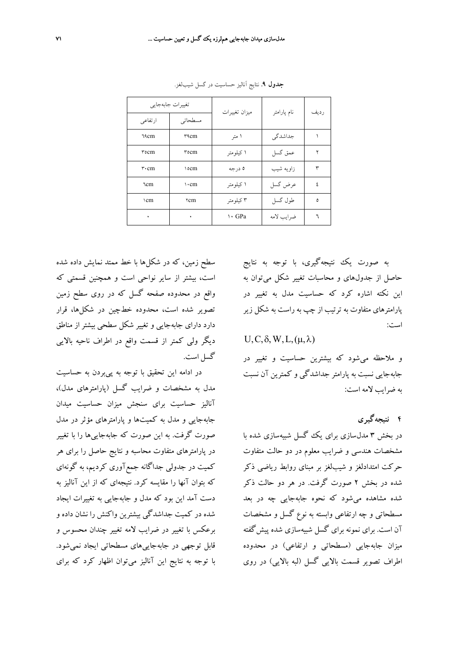|                                | تغييرات جابهجايي | میزان تغییرات | نام پارامتر | ر دیف |
|--------------------------------|------------------|---------------|-------------|-------|
| ارتفاعى                        | مسطحاتي          |               |             |       |
| ٦٩cm                           | <b>TACm</b>      | ا متر         | جداشدگی     |       |
| $r$ $\circ$ $cm$               | ۳٥cm             | ۱ کیلومتر     | عمق گسل     | ۲     |
| $\mathbf{r} \cdot \mathbf{cm}$ | 10cm             | ۵ در جه       | زاويه شيب   | ٣     |
| ٦cm                            | $\cdot$ cm       | ۱ کیلومتړ     | عرض گسل     | ٤     |
| \cm                            | $\tau$ cm        | ۳ کیلو متر    | طول گسل     | ٥     |
| ٠                              |                  | \ GPa         | ضرايب لامه  |       |

**جدول .9** نتايج آناليز حساسيت در گسل شيبلغز.

سطح زمين، كه در شكلها با خط ممتد نمايش داده شده است، بيشتر از ساير نواحي است و همچنين قسمتي كه واقع در محدوده صفحه گسل كه در روي سطح زمين تصوير شده است، محدوده خطچين در شكلها، قرار دارد داراي جابهجايي و تغيير شكل سطحي بيشتر از مناطق ديگر ولي كمتر از قسمت واقع در اطراف ناحيه بالايي گسل است.

در ادامه اين تحقيق با توجه به پيبردن به حساسيت مدل به مشخصات و ضرايب گسل (پارامترهاي مدل)، آناليز حساسيت براي سنجش ميزان حساسيت ميدان جابهجايي و مدل به كميتها و پارامترهاي مؤثر در مدل صورت گرفت. به اين صورت كه جابهجاييها را با تغيير در پارامترهاي متفاوت محاسبه و نتايج حاصل را براي هر كميت در جدولي جداگانه جمعآوري كرديم، به گونهاي كه بتوان آنها را مقايسه كرد. نتيجهاي كه از اين آناليز به دست آمد اين بود كه مدل و جابهجايي به تغييرات ايجاد شده در كميت جداشدگي بيشترين واكنش را نشان داده و برعكس با تغيير در ضرايب لامه تغيير چندان محسوس و قابل توجهي در جابهجاييهاي مسطحاتي ايجاد نميشود. با توجه به نتايج اين آناليز ميتوان اظهار كرد كه براي

به صورت يك نتيجهگيري، با توجه به نتايج حاصل از جدولهاي و محاسبات تغيير شكل ميتوان به اين نكته اشاره كرد كه حساسيت مدل به تغيير در پارامترهاي متفاوت به ترتيب از چپ به راست به شكل زير است:

 $U, C, \delta, W, L, (\mu, \lambda)$ 

و ملاحظه ميشود كه بيشترين حساسيت و تغيير در جابهجايي نسبت به پارامتر جداشدگي و كمترين آن نسبت به ضرايب لامه است:

**4 نتيجهگيري**

در بخش 3 مدلسازي براي يك گسل شبيهسازي شده با مشخصات هندسي و ضرايب معلوم در دو حالت متفاوت حركت امتدادلغز و شيبلغز بر مبناي روابط رياضي ذكر شده در بخش 2 صورت گرفت. در هر دو حالت ذكر شده مشاهده ميشود كه نحوه جابهجايي چه در بعد مسطحاتي و چه ارتفاعي وابسته به نوع گسل و مشخصات آن است. براي نمونه براي گسل شبيهسازي شده پيشگفته ميزان جابهجايي (مسطحاتي و ارتفاعي) در محدوده اطراف تصوير قسمت بالايي گسل (لبه بالايي) در روي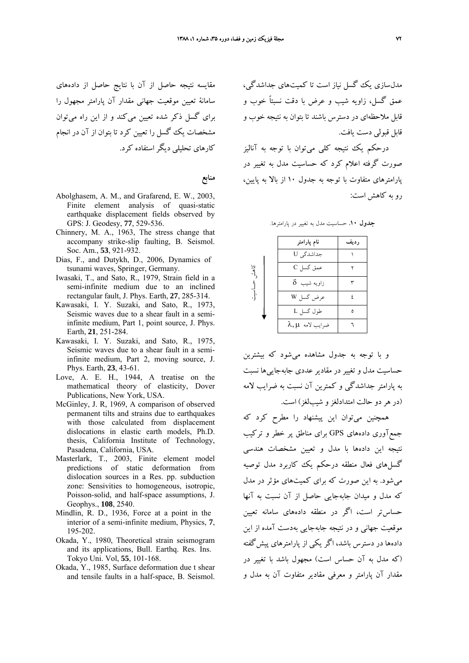مدلسازي يك گسل نياز است تا كميتهاي جداشدگي، عمق گسل، زاويه شيب و عرض با دقت نسبتاً خوب و قابل ملاحظهاي در دسترس باشند تا بتوان به نتيجه خوب و قابل قبولي دست يافت. مقايسه نتيجه حاصل از آن با نتايج حاصل از دادههاي سامانة تعيين موقعيت جهاني مقدار آن پارامتر مجهول را براي گسل ذكر شده تعيين ميكند و از اين راه ميتوان مشخصات يك گسل را تعيين كرد تا بتوان از آن در انجام

> درحكم يك نتيجه كلي ميتوان با توجه به آناليز صورت گرفته اعلام كرد كه حساسيت مدل به تغيير در پارامترهاي متفاوت با توجه به جدول 10 از بالا به پايين، رو به كاهش است:

**جدول .10** حساسيت مدل به تغيير در پارامترها.

|                          | نام پارامتر        | رديف |
|--------------------------|--------------------|------|
| كاهش<br>$\left.\right\}$ | جداشدگی U          |      |
|                          | عمق گسل C          |      |
|                          | $\delta$ زاویه شیب |      |
|                          | عرض گسل W          |      |
|                          | طول گسل L          |      |
|                          | ضرايب لامه λ,μ     |      |

Earth, **21**, 251-284. Kawasaki, I. Y. Suzaki, and Sato, R., 1975, Seismic waves due to a shear fault in a semiinfinite medium, Part 2, moving source, J. Phys. Earth, **23**, 43-61.

Abolghasem, A. M., and Grafarend, E. W., 2003, Finite element analysis of quasi-static earthquake displacement fields observed by

Chinnery, M. A., 1963, The stress change that accompany strike-slip faulting, B. Seismol.

Dias, F., and Dutykh, D., 2006, Dynamics of tsunami waves, Springer, Germany. Iwasaki, T., and Sato, R., 1979, Strain field in a semi-infinite medium due to an inclined rectangular fault, J. Phys. Earth, **27**, 285-314. Kawasaki, I. Y. Suzaki, and Sato, R., 1973, Seismic waves due to a shear fault in a semiinfinite medium, Part 1, point source, J. Phys.

GPS: J. Geodesy, **77**, 529-536.

Soc. Am., **53**, 921-932.

كارهاي تحليلي ديگراستفاده كرد.

**منابع**

- Love, A. E. H., 1944, A treatise on the mathematical theory of elasticity, Dover Publications, New York, USA.
- McGinley, J. R, 1969, A comparison of observed permanent tilts and strains due to earthquakes with those calculated from displacement dislocations in elastic earth models, Ph.D. thesis, California Institute of Technology, Pasadena, California, USA.
- Masterlark, T., 2003, Finite element model predictions of static deformation from dislocation sources in a Res. pp. subduction zone: Sensivities to homogeneous, isotropic, Poisson-solid, and half-space assumptions, J. Geophys., **108**, 2540.
- Mindlin, R. D., 1936, Force at a point in the interior of a semi-infinite medium, Physics, **7**, 195-202.
- Okada, Y., 1980, Theoretical strain seismogram and its applications, Bull. Earthq. Res. Ins. Tokyo Uni. Vol, **55**, 101-168.
- Okada, Y., 1985, Surface deformation due t shear and tensile faults in a half-space, B. Seismol.

و با توجه به جدول مشاهده ميشود كه بيشترين حساسيت مدل و تغيير در مقادير عددي جابهجاييها نسبت به پارامتر جداشدگي و كمترين آن نسبت به ضرايب لامه (در هردو حالت امتدادلغزو شيبلغز) است.

همچنين ميتوان اين پيشنهاد را مطرح كرد كه جمعآوري دادههاي GPS براي مناطق پر خطر و تركيب نتيجه اين دادهها با مدل و تعيين مشخصات هندسي گسلهاي فعال منطقه درحكم يك كاربرد مدل توصيه ميشود. به اين صورت كه براي كميتهاي مؤثر در مدل كه مدل و ميدان جابهجايي حاصل از آن نسبت به آنها حساستر است، اگر در منطقه دادههاي سامانه تعيين موقعيت جهاني و در نتيجه جابهجايي بهدست آمده از اين دادهها در دسترس باشد، اگر يكي از پارامترهاي پيشگفته (كه مدل به آن حساس است) مجهول باشد با تغيير در مقدار آن پارامتر و معرفي مقادير متفاوت آن به مدل و